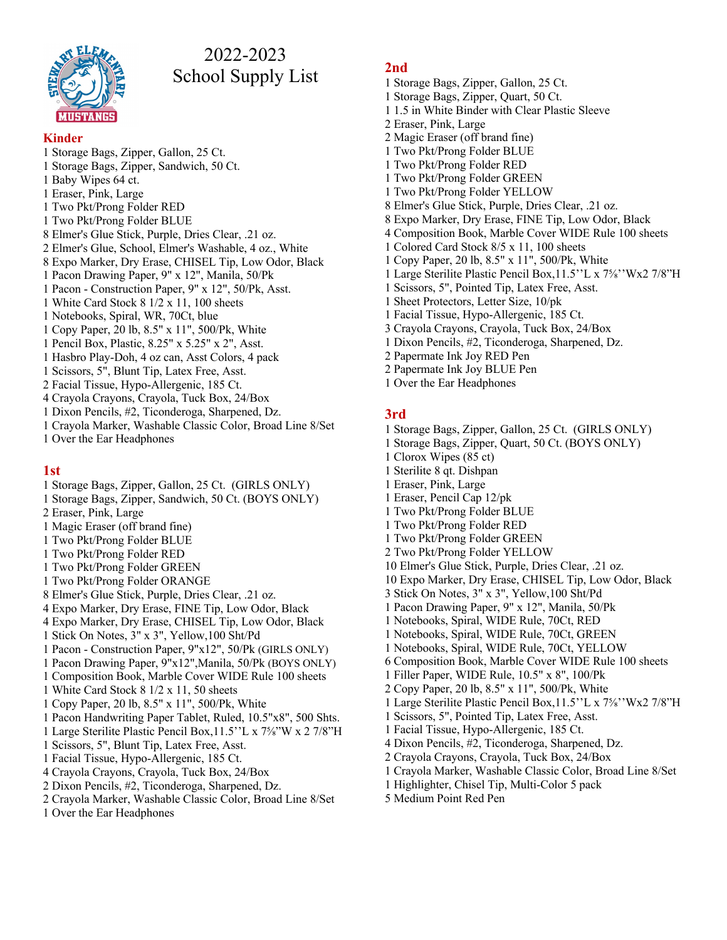

# 2022-2023 School Supply List

### **Kinder**

- 1 Storage Bags, Zipper, Gallon, 25 Ct.
- 1 Storage Bags, Zipper, Sandwich, 50 Ct.
- 1 Baby Wipes 64 ct.
- 1 Eraser, Pink, Large
- 1 Two Pkt/Prong Folder RED
- 1 Two Pkt/Prong Folder BLUE
- 8 Elmer's Glue Stick, Purple, Dries Clear, .21 oz.
- 2 Elmer's Glue, School, Elmer's Washable, 4 oz., White
- 8 Expo Marker, Dry Erase, CHISEL Tip, Low Odor, Black
- 1 Pacon Drawing Paper, 9" x 12", Manila, 50/Pk
- 1 Pacon Construction Paper, 9" x 12", 50/Pk, Asst.
- 1 White Card Stock 8 1/2 x 11, 100 sheets
- 1 Notebooks, Spiral, WR, 70Ct, blue
- 1 Copy Paper, 20 lb, 8.5" x 11", 500/Pk, White
- 1 Pencil Box, Plastic, 8.25" x 5.25" x 2", Asst.
- 1 Hasbro Play-Doh, 4 oz can, Asst Colors, 4 pack
- 1 Scissors, 5", Blunt Tip, Latex Free, Asst.
- 2 Facial Tissue, Hypo-Allergenic, 185 Ct.
- 4 Crayola Crayons, Crayola, Tuck Box, 24/Box
- 1 Dixon Pencils, #2, Ticonderoga, Sharpened, Dz.
- 1 Crayola Marker, Washable Classic Color, Broad Line 8/Set
- 1 Over the Ear Headphones

### **1st**

- 1 Storage Bags, Zipper, Gallon, 25 Ct. (GIRLS ONLY)
- 1 Storage Bags, Zipper, Sandwich, 50 Ct. (BOYS ONLY)
- 2 Eraser, Pink, Large
- 1 Magic Eraser (off brand fine)
- 1 Two Pkt/Prong Folder BLUE
- 1 Two Pkt/Prong Folder RED
- 1 Two Pkt/Prong Folder GREEN
- 1 Two Pkt/Prong Folder ORANGE
- 8 Elmer's Glue Stick, Purple, Dries Clear, .21 oz.
- 4 Expo Marker, Dry Erase, FINE Tip, Low Odor, Black
- 4 Expo Marker, Dry Erase, CHISEL Tip, Low Odor, Black
- 1 Stick On Notes, 3" x 3", Yellow,100 Sht/Pd
- 1 Pacon Construction Paper, 9"x12", 50/Pk (GIRLS ONLY)
- 1 Pacon Drawing Paper, 9"x12",Manila, 50/Pk (BOYS ONLY)
- 1 Composition Book, Marble Cover WIDE Rule 100 sheets
- 1 White Card Stock 8 1/2 x 11, 50 sheets
- 1 Copy Paper, 20 lb, 8.5" x 11", 500/Pk, White
- 1 Pacon Handwriting Paper Tablet, Ruled, 10.5"x8", 500 Shts.
- 1 Large Sterilite Plastic Pencil Box,11.5''L x 7⅝"W x 2 7/8"H
- 1 Scissors, 5", Blunt Tip, Latex Free, Asst.
- 1 Facial Tissue, Hypo-Allergenic, 185 Ct.
- 4 Crayola Crayons, Crayola, Tuck Box, 24/Box
- 2 Dixon Pencils, #2, Ticonderoga, Sharpened, Dz.
- 2 Crayola Marker, Washable Classic Color, Broad Line 8/Set
- 1 Over the Ear Headphones

# **2nd**

- 1 Storage Bags, Zipper, Gallon, 25 Ct.
- 1 Storage Bags, Zipper, Quart, 50 Ct.
- 1 1.5 in White Binder with Clear Plastic Sleeve
- 2 Eraser, Pink, Large
- 2 Magic Eraser (off brand fine)
- 1 Two Pkt/Prong Folder BLUE
- 1 Two Pkt/Prong Folder RED
- 1 Two Pkt/Prong Folder GREEN
- 1 Two Pkt/Prong Folder YELLOW
- 8 Elmer's Glue Stick, Purple, Dries Clear, .21 oz.
- 8 Expo Marker, Dry Erase, FINE Tip, Low Odor, Black
- 4 Composition Book, Marble Cover WIDE Rule 100 sheets
- 1 Colored Card Stock 8/5 x 11, 100 sheets
- 1 Copy Paper, 20 lb, 8.5" x 11", 500/Pk, White
- 1 Large Sterilite Plastic Pencil Box,11.5''L x 7⅝''Wx2 7/8"H
- 1 Scissors, 5", Pointed Tip, Latex Free, Asst.
- 1 Sheet Protectors, Letter Size, 10/pk
- 1 Facial Tissue, Hypo-Allergenic, 185 Ct.
- 3 Crayola Crayons, Crayola, Tuck Box, 24/Box
- 1 Dixon Pencils, #2, Ticonderoga, Sharpened, Dz.
- 2 Papermate Ink Joy RED Pen
- 2 Papermate Ink Joy BLUE Pen
- 1 Over the Ear Headphones

# **3rd**

- 1 Storage Bags, Zipper, Gallon, 25 Ct. (GIRLS ONLY)
- 1 Storage Bags, Zipper, Quart, 50 Ct. (BOYS ONLY)
- 1 Clorox Wipes (85 ct)
- 1 Sterilite 8 qt. Dishpan
- 1 Eraser, Pink, Large
- 1 Eraser, Pencil Cap 12/pk
- 1 Two Pkt/Prong Folder BLUE
- 1 Two Pkt/Prong Folder RED
- 1 Two Pkt/Prong Folder GREEN
- 2 Two Pkt/Prong Folder YELLOW
- 10 Elmer's Glue Stick, Purple, Dries Clear, .21 oz.
- 10 Expo Marker, Dry Erase, CHISEL Tip, Low Odor, Black
- 3 Stick On Notes, 3" x 3", Yellow,100 Sht/Pd
- 1 Pacon Drawing Paper, 9" x 12", Manila, 50/Pk
- 1 Notebooks, Spiral, WIDE Rule, 70Ct, RED
- 1 Notebooks, Spiral, WIDE Rule, 70Ct, GREEN
- 1 Notebooks, Spiral, WIDE Rule, 70Ct, YELLOW
- 6 Composition Book, Marble Cover WIDE Rule 100 sheets
- 1 Filler Paper, WIDE Rule, 10.5" x 8", 100/Pk
- 2 Copy Paper, 20 lb, 8.5" x 11", 500/Pk, White
- 1 Large Sterilite Plastic Pencil Box,11.5''L x 7⅝''Wx2 7/8"H

1 Crayola Marker, Washable Classic Color, Broad Line 8/Set

- 1 Scissors, 5", Pointed Tip, Latex Free, Asst.
- 1 Facial Tissue, Hypo-Allergenic, 185 Ct.
- 4 Dixon Pencils, #2, Ticonderoga, Sharpened, Dz.

2 Crayola Crayons, Crayola, Tuck Box, 24/Box

1 Highlighter, Chisel Tip, Multi-Color 5 pack

5 Medium Point Red Pen